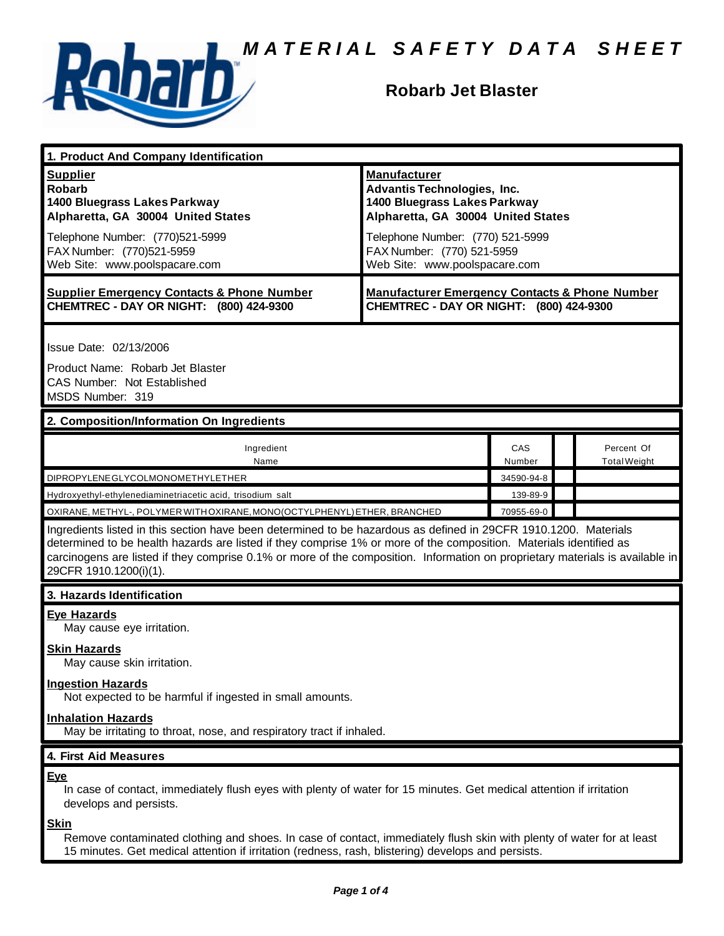

# **Robarb Jet Blaster**

| 1. Product And Company Identification                                                                                                                                                                                                                                                                                                                                                             |                                                                                                      |                                                                                                          |                                   |  |
|---------------------------------------------------------------------------------------------------------------------------------------------------------------------------------------------------------------------------------------------------------------------------------------------------------------------------------------------------------------------------------------------------|------------------------------------------------------------------------------------------------------|----------------------------------------------------------------------------------------------------------|-----------------------------------|--|
| <b>Supplier</b><br><b>Robarb</b><br>1400 Bluegrass Lakes Parkway<br>Alpharetta, GA 30004 United States                                                                                                                                                                                                                                                                                            | <b>Manufacturer</b>                                                                                  | <b>Advantis Technologies, Inc.</b><br>1400 Bluegrass Lakes Parkway<br>Alpharetta, GA 30004 United States |                                   |  |
| Telephone Number: (770)521-5999<br>FAX Number: (770)521-5959<br>Web Site: www.poolspacare.com                                                                                                                                                                                                                                                                                                     | Telephone Number: (770) 521-5999<br>FAX Number: (770) 521-5959<br>Web Site: www.poolspacare.com      |                                                                                                          |                                   |  |
| <b>Supplier Emergency Contacts &amp; Phone Number</b><br>CHEMTREC - DAY OR NIGHT: (800) 424-9300                                                                                                                                                                                                                                                                                                  | <b>Manufacturer Emergency Contacts &amp; Phone Number</b><br>CHEMTREC - DAY OR NIGHT: (800) 424-9300 |                                                                                                          |                                   |  |
| Issue Date: 02/13/2006<br>Product Name: Robarb Jet Blaster<br><b>CAS Number: Not Established</b><br>MSDS Number: 319                                                                                                                                                                                                                                                                              |                                                                                                      |                                                                                                          |                                   |  |
| 2. Composition/Information On Ingredients                                                                                                                                                                                                                                                                                                                                                         |                                                                                                      |                                                                                                          |                                   |  |
| Ingredient<br>Name                                                                                                                                                                                                                                                                                                                                                                                |                                                                                                      | CAS<br>Number                                                                                            | Percent Of<br><b>Total Weight</b> |  |
| DIPROPYLENE GLYCOLMONOMETHYLETHER                                                                                                                                                                                                                                                                                                                                                                 |                                                                                                      | 34590-94-8                                                                                               |                                   |  |
| Hydroxyethyl-ethylenediaminetriacetic acid, trisodium salt                                                                                                                                                                                                                                                                                                                                        |                                                                                                      | 139-89-9                                                                                                 |                                   |  |
| OXIRANE, METHYL-, POLYMER WITH OXIRANE, MONO(OCTYLPHENYL) ETHER, BRANCHED                                                                                                                                                                                                                                                                                                                         |                                                                                                      | 70955-69-0                                                                                               |                                   |  |
| Ingredients listed in this section have been determined to be hazardous as defined in 29CFR 1910.1200. Materials<br>determined to be health hazards are listed if they comprise 1% or more of the composition. Materials identified as<br>carcinogens are listed if they comprise 0.1% or more of the composition. Information on proprietary materials is available in<br>29CFR 1910.1200(i)(1). |                                                                                                      |                                                                                                          |                                   |  |
| 3. Hazards Identification                                                                                                                                                                                                                                                                                                                                                                         |                                                                                                      |                                                                                                          |                                   |  |

# **Eye Hazards**

May cause eye irritation.

# **Skin Hazards**

May cause skin irritation.

# **Ingestion Hazards**

Not expected to be harmful if ingested in small amounts.

# **Inhalation Hazards**

May be irritating to throat, nose, and respiratory tract if inhaled.

# **4. First Aid Measures**

### **Eye**

In case of contact, immediately flush eyes with plenty of water for 15 minutes. Get medical attention if irritation develops and persists.

**Skin**

Remove contaminated clothing and shoes. In case of contact, immediately flush skin with plenty of water for at least 15 minutes. Get medical attention if irritation (redness, rash, blistering) develops and persists.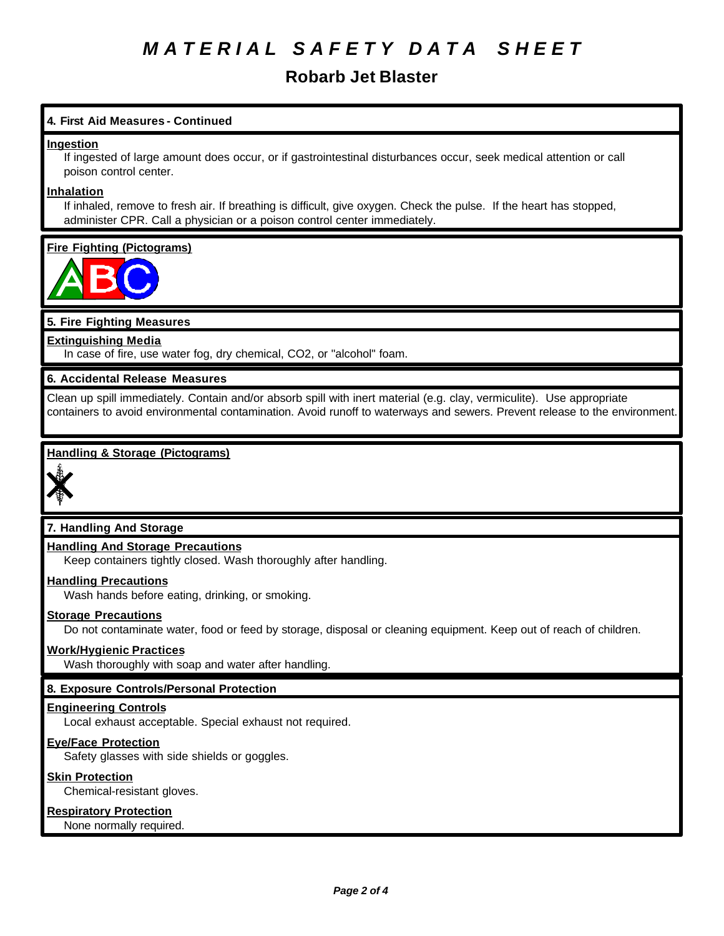# *M A T E R I A L S A F E T Y D A T A S H E E T*

# **Robarb Jet Blaster**

# **4. First Aid Measures - Continued**

# **Ingestion**

If ingested of large amount does occur, or if gastrointestinal disturbances occur, seek medical attention or call poison control center.

# **Inhalation**

If inhaled, remove to fresh air. If breathing is difficult, give oxygen. Check the pulse. If the heart has stopped, administer CPR. Call a physician or a poison control center immediately.

# **Fire Fighting (Pictograms)**



# **5. Fire Fighting Measures**

# **Extinguishing Media**

In case of fire, use water fog, dry chemical, CO2, or "alcohol" foam.

# **6. Accidental Release Measures**

Clean up spill immediately. Contain and/or absorb spill with inert material (e.g. clay, vermiculite). Use appropriate containers to avoid environmental contamination. Avoid runoff to waterways and sewers. Prevent release to the environment.

# **Handling & Storage (Pictograms)**



# **7. Handling And Storage**

# **Handling And Storage Precautions**

Keep containers tightly closed. Wash thoroughly after handling.

### **Handling Precautions**

Wash hands before eating, drinking, or smoking.

### **Storage Precautions**

Do not contaminate water, food or feed by storage, disposal or cleaning equipment. Keep out of reach of children.

### **Work/Hygienic Practices**

Wash thoroughly with soap and water after handling.

# **8. Exposure Controls/Personal Protection**

### **Engineering Controls**

Local exhaust acceptable. Special exhaust not required.

### **Eye/Face Protection**

Safety glasses with side shields or goggles.

# **Skin Protection**

Chemical-resistant gloves.

# **Respiratory Protection**

None normally required.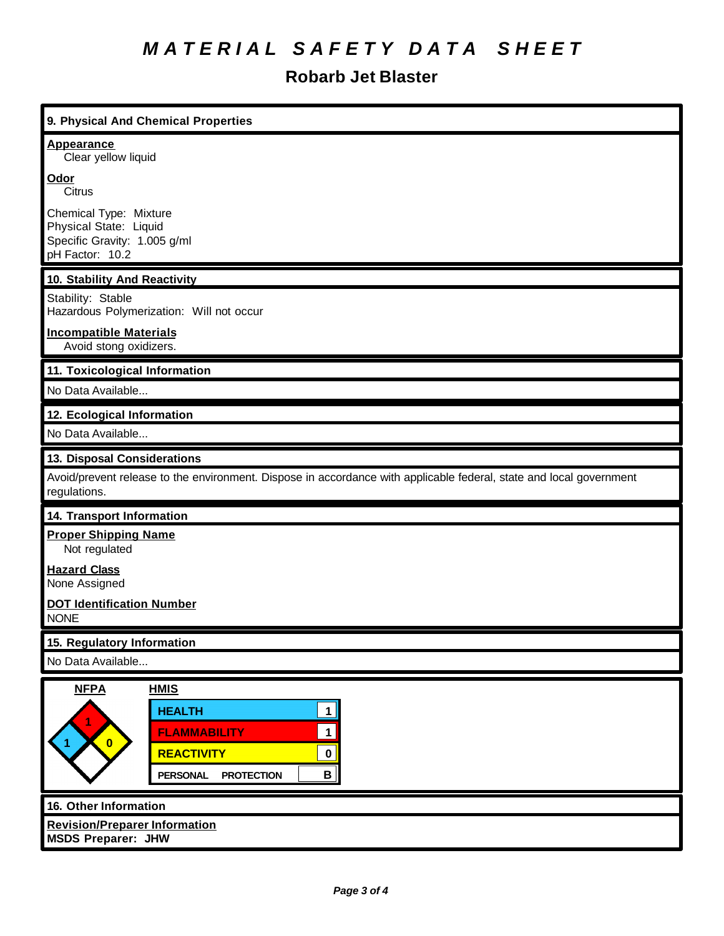# *M A T E R I A L S A F E T Y D A T A S H E E T*

# **Robarb Jet Blaster**

ī

| 9. Physical And Chemical Properties                                                                                                                                                                           |  |  |
|---------------------------------------------------------------------------------------------------------------------------------------------------------------------------------------------------------------|--|--|
| <b>Appearance</b><br>Clear yellow liquid                                                                                                                                                                      |  |  |
| Odor<br>Citrus                                                                                                                                                                                                |  |  |
| Chemical Type: Mixture<br>Physical State: Liquid<br>Specific Gravity: 1.005 g/ml<br>pH Factor: 10.2                                                                                                           |  |  |
| 10. Stability And Reactivity                                                                                                                                                                                  |  |  |
| Stability: Stable<br>Hazardous Polymerization: Will not occur                                                                                                                                                 |  |  |
| <b>Incompatible Materials</b><br>Avoid stong oxidizers.                                                                                                                                                       |  |  |
| 11. Toxicological Information                                                                                                                                                                                 |  |  |
| No Data Available                                                                                                                                                                                             |  |  |
| 12. Ecological Information                                                                                                                                                                                    |  |  |
| No Data Available                                                                                                                                                                                             |  |  |
| 13. Disposal Considerations                                                                                                                                                                                   |  |  |
| Avoid/prevent release to the environment. Dispose in accordance with applicable federal, state and local government<br>regulations.                                                                           |  |  |
| <b>14. Transport Information</b>                                                                                                                                                                              |  |  |
| <b>Proper Shipping Name</b><br>Not regulated                                                                                                                                                                  |  |  |
| <b>Hazard Class</b><br>None Assigned                                                                                                                                                                          |  |  |
| <b>DOT Identification Number</b><br><b>NONE</b>                                                                                                                                                               |  |  |
| 15. Regulatory Information                                                                                                                                                                                    |  |  |
| No Data Available                                                                                                                                                                                             |  |  |
| <b>NFPA</b><br><b>HMIS</b><br><b>HEALTH</b><br>1 <sup>1</sup><br>$\mathbf{1}$<br><b>FLAMMABILITY</b><br>$\bullet$<br><b>REACTIVITY</b><br>$\mathbf 0$<br>$\mathbf{B}$<br><b>PERSONAL</b><br><b>PROTECTION</b> |  |  |
| 16. Other Information<br><b>Revision/Preparer Information</b><br><b>MSDS Preparer: JHW</b>                                                                                                                    |  |  |
|                                                                                                                                                                                                               |  |  |